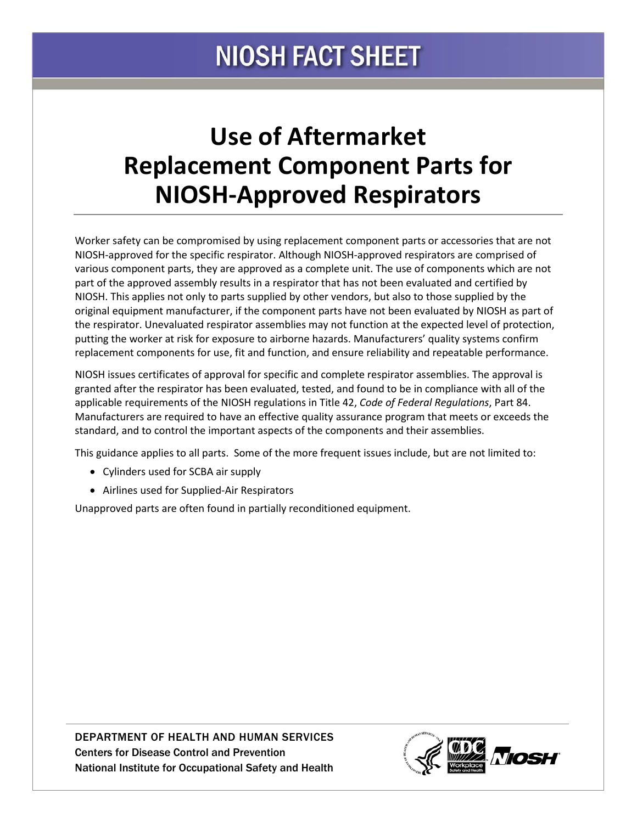## **NIOSH FACT SHEET**

## **Use of Aftermarket Replacement Component Parts for NIOSH-Approved Respirators**

Worker safety can be compromised by using replacement component parts or accessories that are not NIOSH-approved for the specific respirator. Although NIOSH-approved respirators are comprised of various component parts, they are approved as a complete unit. The use of components which are not part of the approved assembly results in a respirator that has not been evaluated and certified by NIOSH. This applies not only to parts supplied by other vendors, but also to those supplied by the original equipment manufacturer, if the component parts have not been evaluated by NIOSH as part of the respirator. Unevaluated respirator assemblies may not function at the expected level of protection, putting the worker at risk for exposure to airborne hazards. Manufacturers' quality systems confirm replacement components for use, fit and function, and ensure reliability and repeatable performance.

NIOSH issues certificates of approval for specific and complete respirator assemblies. The approval is granted after the respirator has been evaluated, tested, and found to be in compliance with all of the applicable requirements of the NIOSH regulations in Title 42, *Code of Federal Regulations*, Part 84. Manufacturers are required to have an effective quality assurance program that meets or exceeds the standard, and to control the important aspects of the components and their assemblies.

This guidance applies to all parts. Some of the more frequent issues include, but are not limited to:

- Cylinders used for SCBA air supply
- Airlines used for Supplied-Air Respirators

Unapproved parts are often found in partially reconditioned equipment.

DEPARTMENT OF HEALTH AND HUMAN SERVICES Centers for Disease Control and Prevention National Institute for Occupational Safety and Health